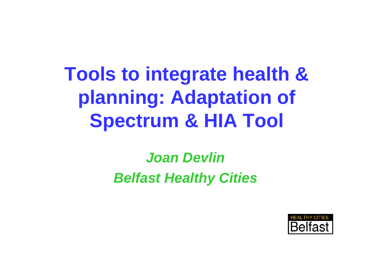# **Tools to integrate health & planning: Adaptation of Spectrum & HIA Tool**

### *Joan DevlinBelfast Healthy Cities*

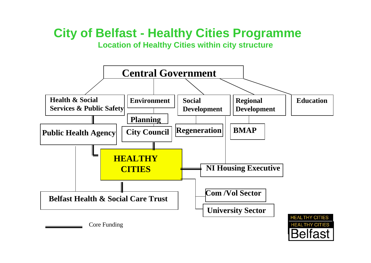#### **City of Belfast - Healthy Cities Programme Location of Healthy Cities within city structure**

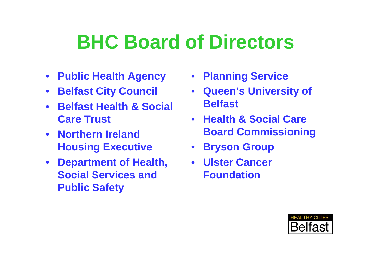## **BHC Board of Directors**

- **Public Health Agency**
- **Belfast City Council**
- **Belfast Health & Social Care Trust**
- **Northern Ireland Housing Executive**
- **Department of Health, Social Services and Public Safety**
- **Planning Service**
- **Queen's University of Belfast**
- **Health & Social Care Board Commissioning**
- **Bryson Group**
- **Ulster Cancer Foundation**

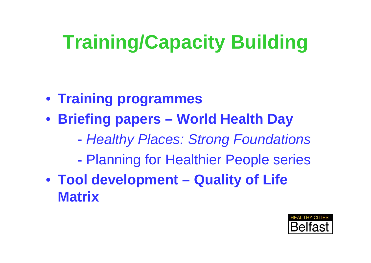# **Training/Capacity Building**

- **Training programmes**
- **Briefing papers World Health Day** 
	- *Healthy Places: Strong Foundations*
	- Planning for Healthier People series
- **Tool development Quality of Life Matrix**

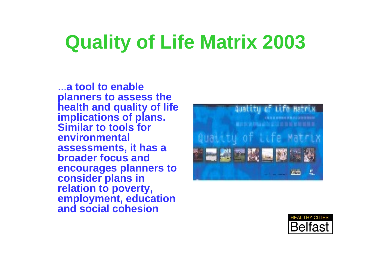# **Quality of Life Matrix 2003**

...**a tool to enable planners to assess the health and quality of life implications of plans. Similar to tools for environmental assessments, it has a broader focus and encourages planners to consider plans in relation to poverty, employment, education and social cohesion** 



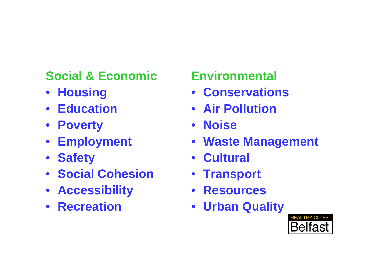### **Social & Economic**

- **Housing**
- **Education**
- **Poverty**
- **Employment**
- **Safety**
- **Social Cohesion**
- **Accessibility**
- **Recreation**

### **Environmental**

- **Conservations**
- **Air Pollution**
- **Noise**
- **Waste Management**
- **Cultural**
- **Transport**
- **Resources**
- **Urban Quality**

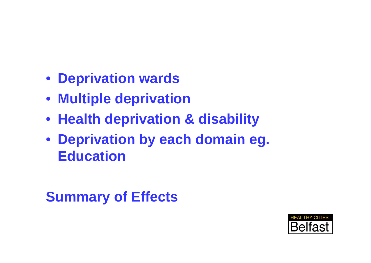- **Deprivation wards**
- **Multiple deprivation**
- **Health deprivation & disability**
- **Deprivation by each domain eg. Education**

### **Summary of Effects**

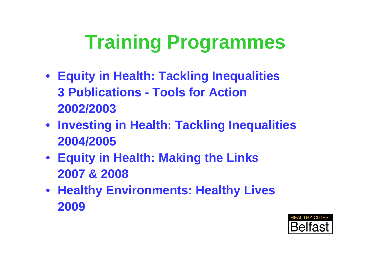# **Training Programmes**

- **Equity in Health: Tackling Inequalities 3 Publications - Tools for Action 2002/2003**
- **Investing in Health: Tackling Inequalities 2004/2005**
- **Equity in Health: Making the Links 2007 & 2008**
- **Healthy Environments: Healthy Lives 2009**

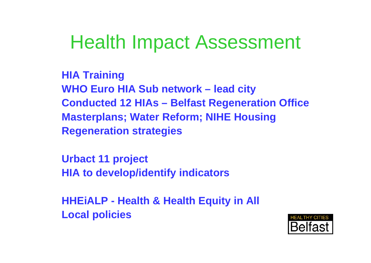### Health Impact Assessment

**HIA Training WHO Euro HIA Sub network – lead city Conducted 12 HIAs – Belfast Regeneration Office Masterplans; Water Reform; NIHE Housing Regeneration strategies**

**Urbact 11 project HIA to develop/identify indicators** 

**HHEiALP - Health & Health Equity in All Local policies**

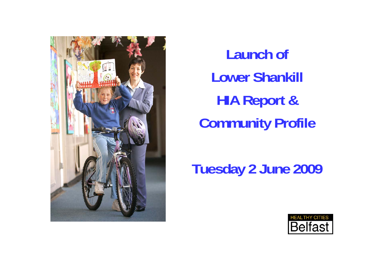

**Launch of Lower Shankill HIA Report & Community Profile**

**Tuesday 2 June 2009**

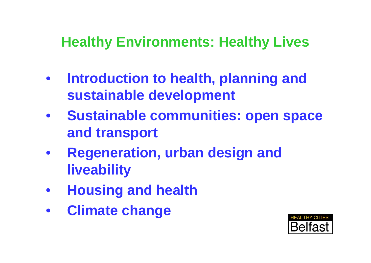### **Healthy Environments: Healthy Lives**

- **Introduction to health, planning and sustainable development**
- **Sustainable communities: open space and transport**
- **Regeneration, urban design and liveability**
- **Housing and health**
- **Climate change**

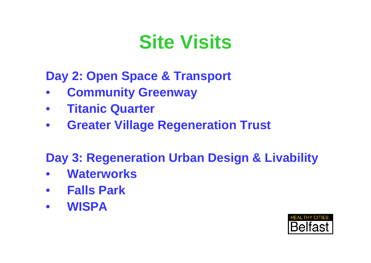## **Site Visits**

**Day 2: Open Space & Transport** 

- **Community Greenway**
- **Titanic Quarter**
- **Greater Village Regeneration Trust**

### **Day 3: Regeneration Urban Design & Livability**

- **Waterworks**
- **Falls Park**
- **WISPA**

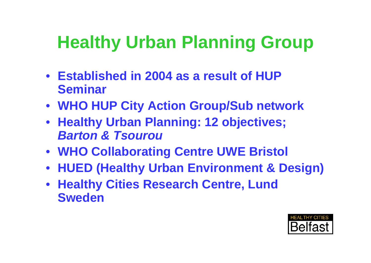### **Healthy Urban Planning Group**

- **Established in 2004 as a result of HUP Seminar**
- **WHO HUP City Action Group/Sub network**
- **Healthy Urban Planning: 12 objectives;**  *Barton & Tsourou*
- **WHO Collaborating Centre UWE Bristol**
- **HUED (Healthy Urban Environment & Design)**
- **Healthy Cities Research Centre, Lund Sweden**

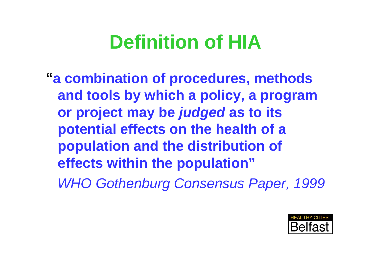# **Definition of HIA**

**"a combination of procedures, methods and tools by which a policy, a program or project may be** *judged* **as to its potential effects on the health of a population and the distribution of effects within the population"** *WHO Gothenburg Consensus Paper, 1999*

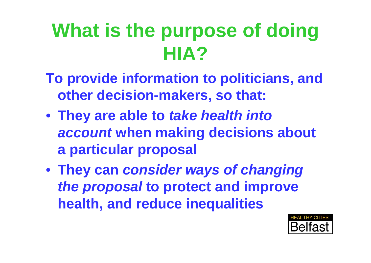# **What is the purpose of doing HIA?**

- **To provide information to politicians, and other decision-makers, so that:**
- **They are able to** *take health into account* **when making decisions about a particular proposal**
- **They can** *consider ways of changing the proposal* **to protect and improve health, and reduce inequalities**

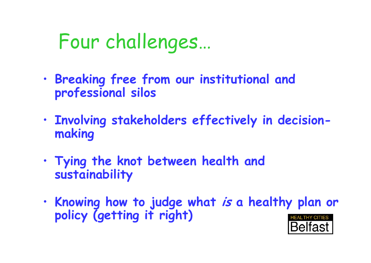# Four challenges…

- • **Breaking free from our institutional and professional silos**
- • **Involving stakeholders effectively in decisionmaking**
- • **Tying the knot between health and sustainability**
- • **Knowing how to judge what is a healthy plan or policy (getting it right)**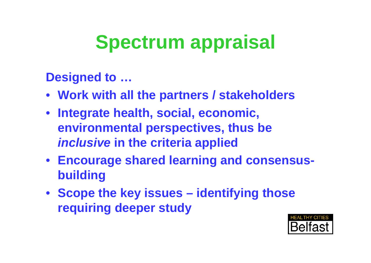# **Spectrum appraisal**

**Designed to …**

- **Work with all the partners / stakeholders**
- **Integrate health, social, economic, environmental perspectives, thus be**  *inclusive* **in the criteria applied**
- **Encourage shared learning and consensusbuilding**
- **Scope the key issues identifying those requiring deeper study**

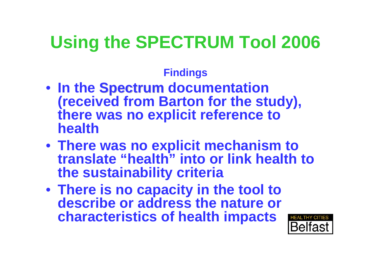### **Using the SPECTRUM Tool 2006**

#### **Findings**

- In the Spectrum documentation<br>(received from Barton for the study), **there was no explicit reference to health**
- **There was no explicit mechanism to translate "health" into or link health to the sustainability criteria**
- **There is no capacity in the tool to describe or address the nature or characteristics of health impacts**

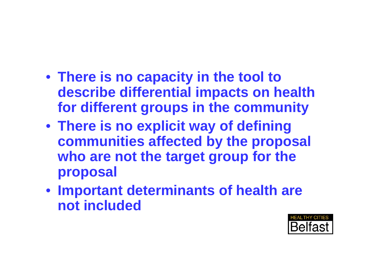- **There is no capacity in the tool to describe differential impacts on health for different groups in the community**
- **There is no explicit way of defining communities affected by the proposal who are not the target group for the proposal**
- **Important determinants of health are not included**

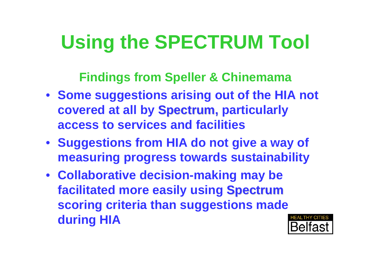# **Using the SPECTRUM Tool**

**Findings from Speller & Chinemama**

- **Some suggestions arising out of the HIA not covered at all by Spectrum, particularly access to services and facilities**
- **Suggestions from HIA do not give a way of measuring progress towards sustainability**
- **Collaborative decision-making may be facilitated more easily using Spectrum scoring criteria than suggestions made during HIA**

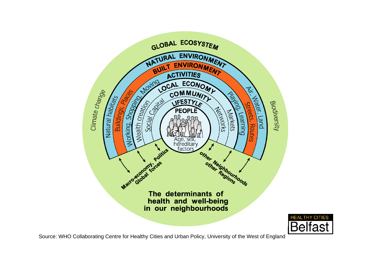

Source: WHO Collaborating Centre for Healthy Cities and Urban Policy, University of the West of England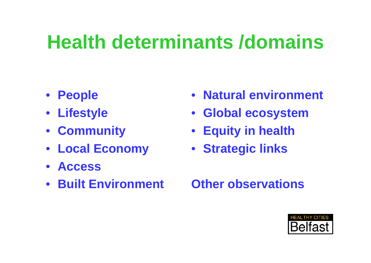# **Health determinants /domains**

- **People**
- **Lifestyle**
- **Community**
- **Local Economy**
- **Access**
- **Built Environment**
- **Natural environment**
- **Global ecosystem**
- **Equity in health**
- **Strategic links**

#### **Other observations**

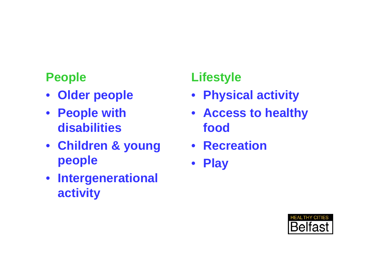#### **People**

- **Older people**
- **People with disabilities**
- **Children & young people**
- **Intergenerational activity**

#### **Lifestyle**

- **Physical activity**
- **Access to healthy food**
- **Recreation**
- **Play**

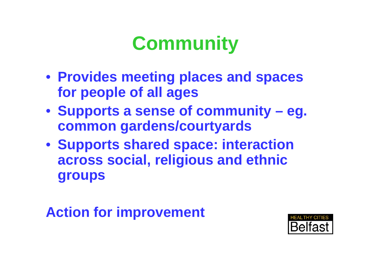# **Community**

- **Provides meeting places and spaces for people of all ages**
- **Supports a sense of community eg. common gardens/courtyards**
- **Supports shared space: interaction across social, religious and ethnic groups**

### **Action for improvement**

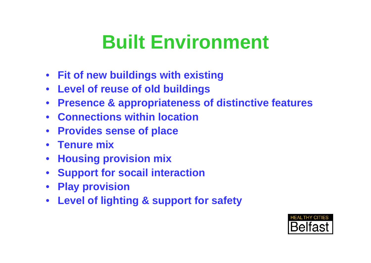# **Built Environment**

- **Fit of new buildings with existing**
- **Level of reuse of old buildings**
- **Presence & appropriateness of distinctive features**
- **Connections within location**
- **Provides sense of place**
- **Tenure mix**
- **Housing provision mix**
- **Support for socail interaction**
- **Play provision**
- **Level of lighting & support for safety**

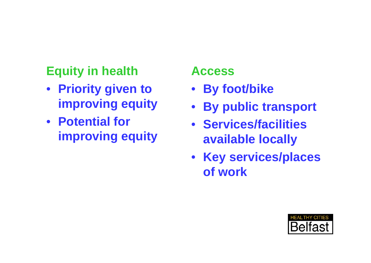### **Equity in health**

- **Priority given to improving equity**
- **Potential for improving equity**

#### **Access**

- **By foot/bike**
- **By public transport**
- **Services/facilities available locally**
- **Key services/places of work**

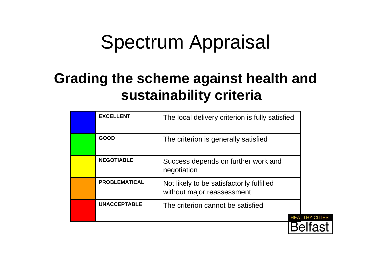## Spectrum Appraisal

### **Grading the scheme against health and sustainability criteria**

| <b>EXCELLENT</b>     | The local delivery criterion is fully satisfied                         |
|----------------------|-------------------------------------------------------------------------|
| <b>GOOD</b>          | The criterion is generally satisfied                                    |
| <b>NEGOTIABLE</b>    | Success depends on further work and<br>negotiation                      |
| <b>PROBLEMATICAL</b> | Not likely to be satisfactorily fulfilled<br>without major reassessment |
| <b>UNACCEPTABLE</b>  | The criterion cannot be satisfied                                       |
|                      |                                                                         |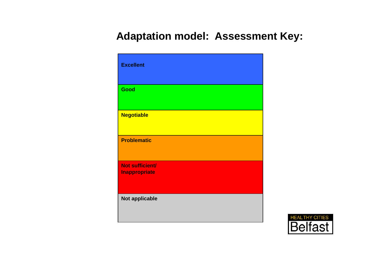#### **Adaptation model: Assessment Key:**

| <b>Excellent</b>                               |
|------------------------------------------------|
| Good                                           |
| <b>Negotiable</b>                              |
| <b>Problematic</b>                             |
| <b>Not sufficient/</b><br><b>Inappropriate</b> |
| Not applicable                                 |

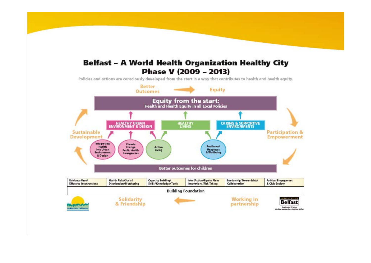#### Belfast – A World Health Organization Healthy City Phase V (2009 - 2013)

Policies and actions are consciously developed from the start in a way that contributes to health and health equity.